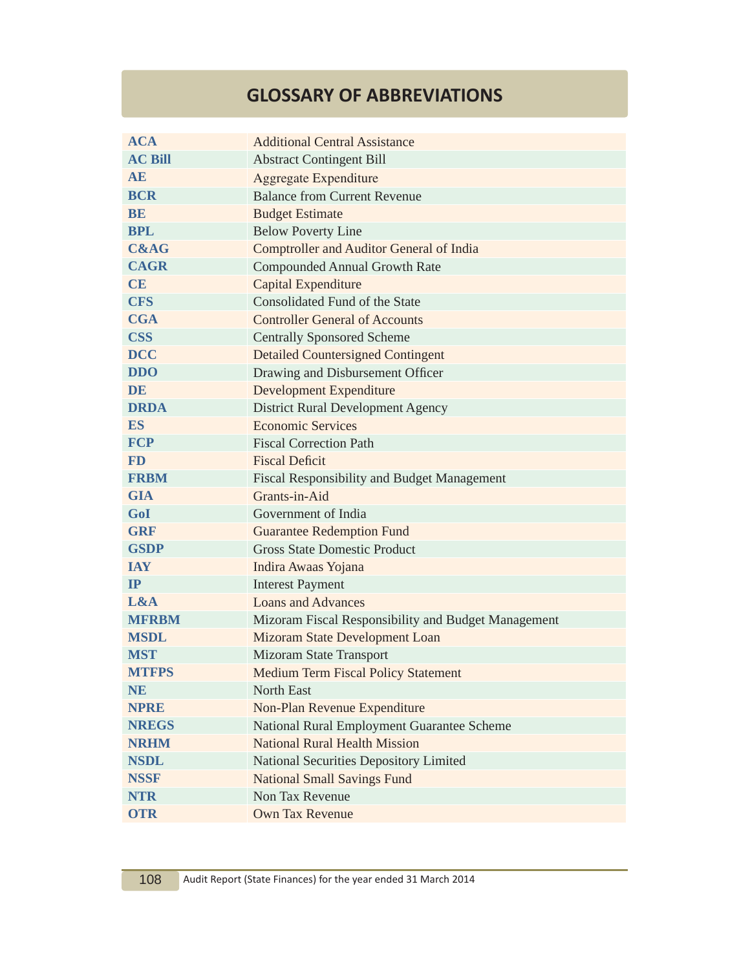## **GLOSSARY OF ABBREVIATIONS**

| <b>ACA</b>      | <b>Additional Central Assistance</b>                |
|-----------------|-----------------------------------------------------|
| <b>AC Bill</b>  | <b>Abstract Contingent Bill</b>                     |
| <b>AE</b>       | <b>Aggregate Expenditure</b>                        |
| <b>BCR</b>      | <b>Balance from Current Revenue</b>                 |
| BE              | <b>Budget Estimate</b>                              |
| <b>BPL</b>      | <b>Below Poverty Line</b>                           |
| <b>C&amp;AG</b> | <b>Comptroller and Auditor General of India</b>     |
| <b>CAGR</b>     | <b>Compounded Annual Growth Rate</b>                |
| <b>CE</b>       | Capital Expenditure                                 |
| <b>CFS</b>      | Consolidated Fund of the State                      |
| <b>CGA</b>      | <b>Controller General of Accounts</b>               |
| <b>CSS</b>      | <b>Centrally Sponsored Scheme</b>                   |
| <b>DCC</b>      | <b>Detailed Countersigned Contingent</b>            |
| <b>DDO</b>      | Drawing and Disbursement Officer                    |
| DE              | <b>Development Expenditure</b>                      |
| <b>DRDA</b>     | <b>District Rural Development Agency</b>            |
| <b>ES</b>       | <b>Economic Services</b>                            |
| <b>FCP</b>      | <b>Fiscal Correction Path</b>                       |
| <b>FD</b>       | <b>Fiscal Deficit</b>                               |
| <b>FRBM</b>     | <b>Fiscal Responsibility and Budget Management</b>  |
| <b>GIA</b>      | Grants-in-Aid                                       |
| GoI             | Government of India                                 |
| <b>GRF</b>      | <b>Guarantee Redemption Fund</b>                    |
| <b>GSDP</b>     | <b>Gross State Domestic Product</b>                 |
| <b>IAY</b>      | Indira Awaas Yojana                                 |
| IP              | <b>Interest Payment</b>                             |
| L&A             | <b>Loans and Advances</b>                           |
| <b>MFRBM</b>    | Mizoram Fiscal Responsibility and Budget Management |
| <b>MSDL</b>     | Mizoram State Development Loan                      |
| <b>MST</b>      | Mizoram State Transport                             |
| <b>MTFPS</b>    | <b>Medium Term Fiscal Policy Statement</b>          |
| <b>NE</b>       | <b>North East</b>                                   |
| <b>NPRE</b>     | Non-Plan Revenue Expenditure                        |
| <b>NREGS</b>    | National Rural Employment Guarantee Scheme          |
| <b>NRHM</b>     | <b>National Rural Health Mission</b>                |
| <b>NSDL</b>     | National Securities Depository Limited              |
| <b>NSSF</b>     | <b>National Small Savings Fund</b>                  |
| <b>NTR</b>      | Non Tax Revenue                                     |
| <b>OTR</b>      | Own Tax Revenue                                     |